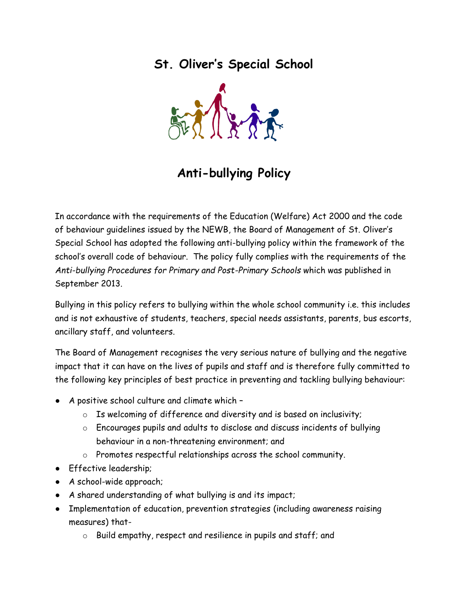**St. Oliver's Special School**



# **Anti-bullying Policy**

In accordance with the requirements of the Education (Welfare) Act 2000 and the code of behaviour guidelines issued by the NEWB, the Board of Management of St. Oliver's Special School has adopted the following anti-bullying policy within the framework of the school's overall code of behaviour. The policy fully complies with the requirements of the *Anti-bullying Procedures for Primary and Post-Primary Schools* which was published in September 2013.

Bullying in this policy refers to bullying within the whole school community i.e. this includes and is not exhaustive of students, teachers, special needs assistants, parents, bus escorts, ancillary staff, and volunteers.

The Board of Management recognises the very serious nature of bullying and the negative impact that it can have on the lives of pupils and staff and is therefore fully committed to the following key principles of best practice in preventing and tackling bullying behaviour:

- A positive school culture and climate which
	- $\circ$  Is welcoming of difference and diversity and is based on inclusivity;
	- o Encourages pupils and adults to disclose and discuss incidents of bullying behaviour in a non-threatening environment; and
	- o Promotes respectful relationships across the school community.
- Effective leadership;
- A school-wide approach;
- A shared understanding of what bullying is and its impact;
- Implementation of education, prevention strategies (including awareness raising measures) that
	- o Build empathy, respect and resilience in pupils and staff; and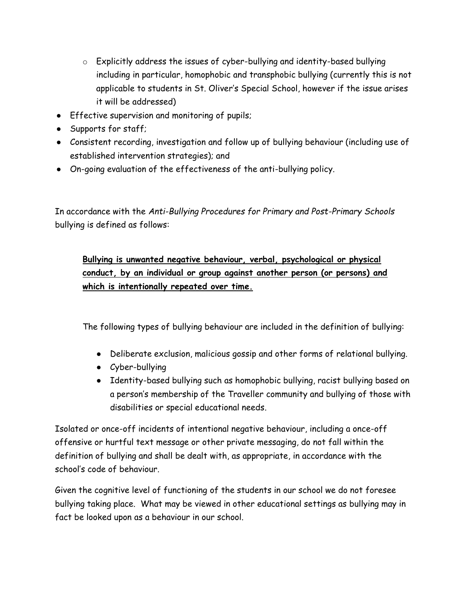- o Explicitly address the issues of cyber-bullying and identity-based bullying including in particular, homophobic and transphobic bullying (currently this is not applicable to students in St. Oliver's Special School, however if the issue arises it will be addressed)
- Effective supervision and monitoring of pupils;
- Supports for staff;
- Consistent recording, investigation and follow up of bullying behaviour (including use of established intervention strategies); and
- On-going evaluation of the effectiveness of the anti-bullying policy.

In accordance with the *Anti-Bullying Procedures for Primary and Post-Primary Schools* bullying is defined as follows:

# **Bullying is unwanted negative behaviour, verbal, psychological or physical conduct, by an individual or group against another person (or persons) and which is intentionally repeated over time.**

The following types of bullying behaviour are included in the definition of bullying:

- Deliberate exclusion, malicious gossip and other forms of relational bullying.
- Cyber-bullying
- Identity-based bullying such as homophobic bullying, racist bullying based on a person's membership of the Traveller community and bullying of those with disabilities or special educational needs.

Isolated or once-off incidents of intentional negative behaviour, including a once-off offensive or hurtful text message or other private messaging, do not fall within the definition of bullying and shall be dealt with, as appropriate, in accordance with the school's code of behaviour.

Given the cognitive level of functioning of the students in our school we do not foresee bullying taking place. What may be viewed in other educational settings as bullying may in fact be looked upon as a behaviour in our school.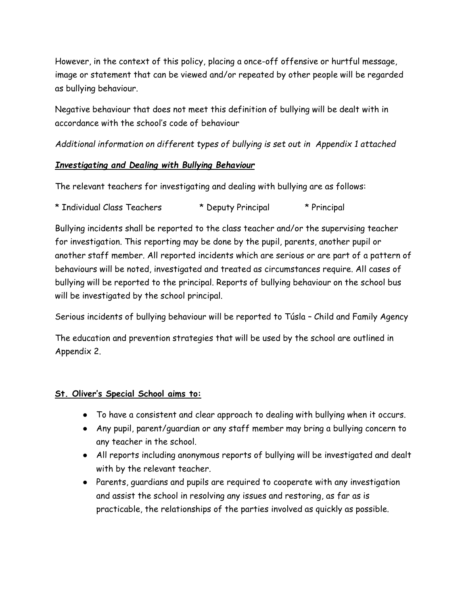However, in the context of this policy, placing a once-off offensive or hurtful message, image or statement that can be viewed and/or repeated by other people will be regarded as bullying behaviour.

Negative behaviour that does not meet this definition of bullying will be dealt with in accordance with the school's code of behaviour

*Additional information on different types of bullying is set out in Appendix 1 attached* 

## *Investigating and Dealing with Bullying Behaviour*

The relevant teachers for investigating and dealing with bullying are as follows:

| * Individual Class Teachers | * Deputy Principal | * Principal |
|-----------------------------|--------------------|-------------|
|                             |                    |             |

Bullying incidents shall be reported to the class teacher and/or the supervising teacher for investigation. This reporting may be done by the pupil, parents, another pupil or another staff member. All reported incidents which are serious or are part of a pattern of behaviours will be noted, investigated and treated as circumstances require. All cases of bullying will be reported to the principal. Reports of bullying behaviour on the school bus will be investigated by the school principal.

Serious incidents of bullying behaviour will be reported to Túsla – Child and Family Agency

The education and prevention strategies that will be used by the school are outlined in Appendix 2.

## **St. Oliver's Special School aims to:**

- To have a consistent and clear approach to dealing with bullying when it occurs.
- Any pupil, parent/guardian or any staff member may bring a bullying concern to any teacher in the school.
- All reports including anonymous reports of bullying will be investigated and dealt with by the relevant teacher.
- Parents, guardians and pupils are required to cooperate with any investigation and assist the school in resolving any issues and restoring, as far as is practicable, the relationships of the parties involved as quickly as possible.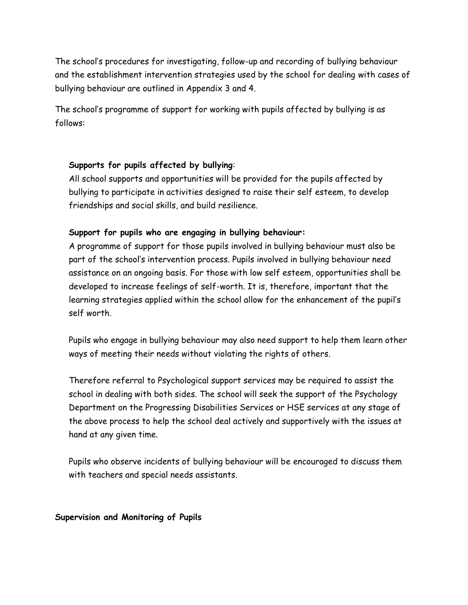The school's procedures for investigating, follow-up and recording of bullying behaviour and the establishment intervention strategies used by the school for dealing with cases of bullying behaviour are outlined in Appendix 3 and 4.

The school's programme of support for working with pupils affected by bullying is as follows:

## **Supports for pupils affected by bullying**:

All school supports and opportunities will be provided for the pupils affected by bullying to participate in activities designed to raise their self esteem, to develop friendships and social skills, and build resilience.

#### **Support for pupils who are engaging in bullying behaviour:**

A programme of support for those pupils involved in bullying behaviour must also be part of the school's intervention process. Pupils involved in bullying behaviour need assistance on an ongoing basis. For those with low self esteem, opportunities shall be developed to increase feelings of self-worth. It is, therefore, important that the learning strategies applied within the school allow for the enhancement of the pupil's self worth.

Pupils who engage in bullying behaviour may also need support to help them learn other ways of meeting their needs without violating the rights of others.

Therefore referral to Psychological support services may be required to assist the school in dealing with both sides. The school will seek the support of the Psychology Department on the Progressing Disabilities Services or HSE services at any stage of the above process to help the school deal actively and supportively with the issues at hand at any given time.

Pupils who observe incidents of bullying behaviour will be encouraged to discuss them with teachers and special needs assistants.

**Supervision and Monitoring of Pupils**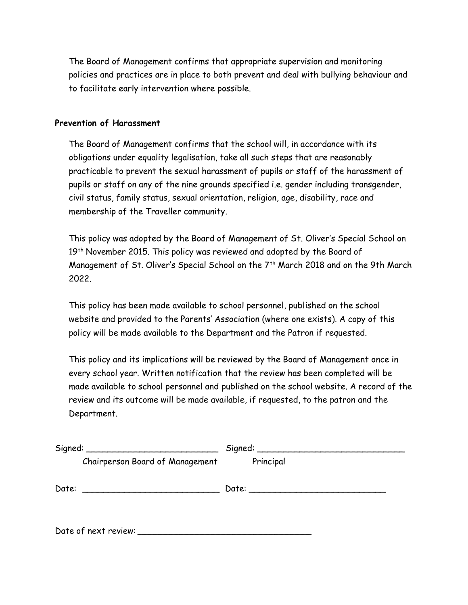The Board of Management confirms that appropriate supervision and monitoring policies and practices are in place to both prevent and deal with bullying behaviour and to facilitate early intervention where possible.

#### **Prevention of Harassment**

The Board of Management confirms that the school will, in accordance with its obligations under equality legalisation, take all such steps that are reasonably practicable to prevent the sexual harassment of pupils or staff of the harassment of pupils or staff on any of the nine grounds specified i.e. gender including transgender, civil status, family status, sexual orientation, religion, age, disability, race and membership of the Traveller community.

This policy was adopted by the Board of Management of St. Oliver's Special School on 19<sup>th</sup> November 2015. This policy was reviewed and adopted by the Board of Management of St. Oliver's Special School on the 7th March 2018 and on the 9th March 2022.

This policy has been made available to school personnel, published on the school website and provided to the Parents' Association (where one exists). A copy of this policy will be made available to the Department and the Patron if requested.

This policy and its implications will be reviewed by the Board of Management once in every school year. Written notification that the review has been completed will be made available to school personnel and published on the school website. A record of the review and its outcome will be made available, if requested, to the patron and the Department.

|                      |                                        | Signal: |           |  |  |
|----------------------|----------------------------------------|---------|-----------|--|--|
|                      | <b>Chairperson Board of Management</b> |         | Principal |  |  |
| Date:                |                                        |         |           |  |  |
| Date of next review: |                                        |         |           |  |  |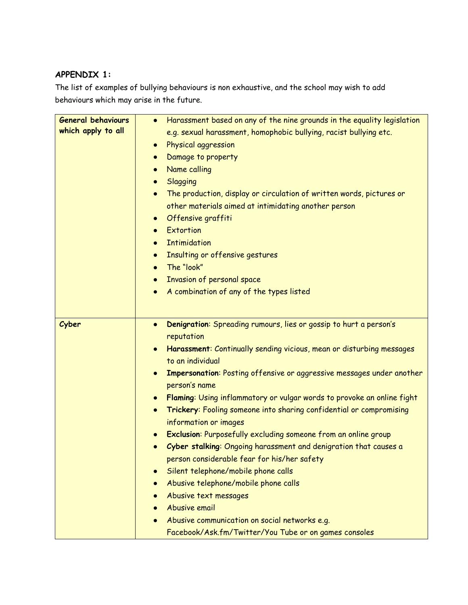## **APPENDIX 1:**

The list of examples of bullying behaviours is non exhaustive, and the school may wish to add behaviours which may arise in the future.

| <b>General behaviours</b> | Harassment based on any of the nine grounds in the equality legislation<br>$\bullet$   |  |  |  |
|---------------------------|----------------------------------------------------------------------------------------|--|--|--|
| which apply to all        | e.g. sexual harassment, homophobic bullying, racist bullying etc.                      |  |  |  |
|                           | Physical aggression<br>$\bullet$                                                       |  |  |  |
|                           | Damage to property<br>$\bullet$                                                        |  |  |  |
|                           | Name calling<br>$\bullet$                                                              |  |  |  |
|                           | Slagging<br>$\bullet$                                                                  |  |  |  |
|                           | The production, display or circulation of written words, pictures or<br>$\bullet$      |  |  |  |
|                           | other materials aimed at intimidating another person                                   |  |  |  |
|                           | Offensive graffiti<br>$\bullet$                                                        |  |  |  |
|                           | Extortion<br>$\bullet$                                                                 |  |  |  |
|                           | <b>Intimidation</b><br>$\bullet$                                                       |  |  |  |
|                           | Insulting or offensive gestures<br>$\bullet$                                           |  |  |  |
|                           | The "look"<br>$\bullet$                                                                |  |  |  |
|                           | Invasion of personal space<br>$\bullet$                                                |  |  |  |
|                           | A combination of any of the types listed<br>$\bullet$                                  |  |  |  |
|                           |                                                                                        |  |  |  |
|                           |                                                                                        |  |  |  |
| Cyber                     | Denigration: Spreading rumours, lies or gossip to hurt a person's<br>$\bullet$         |  |  |  |
|                           | reputation                                                                             |  |  |  |
|                           | Harassment: Continually sending vicious, mean or disturbing messages<br>$\bullet$      |  |  |  |
|                           | to an individual                                                                       |  |  |  |
|                           | Impersonation: Posting offensive or aggressive messages under another<br>person's name |  |  |  |
|                           | Flaming: Using inflammatory or vulgar words to provoke an online fight                 |  |  |  |
|                           | Trickery: Fooling someone into sharing confidential or compromising<br>$\bullet$       |  |  |  |
|                           | information or images                                                                  |  |  |  |
|                           | <b>Exclusion:</b> Purposefully excluding someone from an online group                  |  |  |  |
|                           | Cyber stalking: Ongoing harassment and denigration that causes a<br>$\bullet$          |  |  |  |
|                           | person considerable fear for his/her safety                                            |  |  |  |
|                           | Silent telephone/mobile phone calls                                                    |  |  |  |
|                           | Abusive telephone/mobile phone calls<br>$\bullet$                                      |  |  |  |
|                           | Abusive text messages<br>$\bullet$                                                     |  |  |  |
|                           | Abusive email                                                                          |  |  |  |
|                           | Abusive communication on social networks e.g.                                          |  |  |  |
|                           | Facebook/Ask.fm/Twitter/You Tube or on games consoles                                  |  |  |  |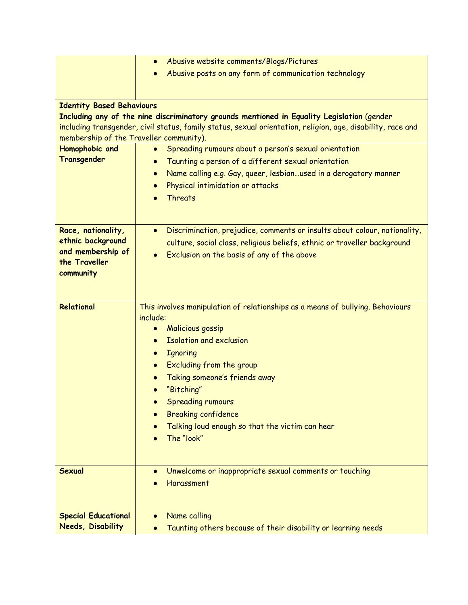|                                                                                      | Abusive website comments/Blogs/Pictures<br>$\bullet$                                                        |  |  |
|--------------------------------------------------------------------------------------|-------------------------------------------------------------------------------------------------------------|--|--|
|                                                                                      | Abusive posts on any form of communication technology                                                       |  |  |
|                                                                                      |                                                                                                             |  |  |
| <b>Identity Based Behaviours</b>                                                     |                                                                                                             |  |  |
|                                                                                      | Including any of the nine discriminatory grounds mentioned in Equality Legislation (gender                  |  |  |
|                                                                                      | including transgender, civil status, family status, sexual orientation, religion, age, disability, race and |  |  |
| membership of the Traveller community).                                              |                                                                                                             |  |  |
| Homophobic and<br>Spreading rumours about a person's sexual orientation<br>$\bullet$ |                                                                                                             |  |  |
| Transgender                                                                          | Taunting a person of a different sexual orientation<br>$\bullet$                                            |  |  |
|                                                                                      | Name calling e.g. Gay, queer, lesbianused in a derogatory manner                                            |  |  |
|                                                                                      | Physical intimidation or attacks<br>$\bullet$                                                               |  |  |
|                                                                                      | <b>Threats</b>                                                                                              |  |  |
|                                                                                      |                                                                                                             |  |  |
| Race, nationality,                                                                   | Discrimination, prejudice, comments or insults about colour, nationality,<br>$\bullet$                      |  |  |
| ethnic background                                                                    | culture, social class, religious beliefs, ethnic or traveller background                                    |  |  |
| and membership of                                                                    | Exclusion on the basis of any of the above                                                                  |  |  |
| the Traveller                                                                        |                                                                                                             |  |  |
| community                                                                            |                                                                                                             |  |  |
|                                                                                      |                                                                                                             |  |  |
| Relational                                                                           | This involves manipulation of relationships as a means of bullying. Behaviours                              |  |  |
|                                                                                      | include:                                                                                                    |  |  |
|                                                                                      | <b>Malicious gossip</b><br>$\bullet$                                                                        |  |  |
|                                                                                      | <b>Isolation and exclusion</b><br>$\bullet$                                                                 |  |  |
|                                                                                      | <b>Ignoring</b><br>$\bullet$                                                                                |  |  |
|                                                                                      | Excluding from the group<br>$\bullet$                                                                       |  |  |
|                                                                                      | Taking someone's friends away                                                                               |  |  |
|                                                                                      | "Bitching"                                                                                                  |  |  |
|                                                                                      | <b>Spreading rumours</b>                                                                                    |  |  |
|                                                                                      | <b>Breaking confidence</b>                                                                                  |  |  |
|                                                                                      | Talking loud enough so that the victim can hear<br>The "look"                                               |  |  |
|                                                                                      |                                                                                                             |  |  |
|                                                                                      |                                                                                                             |  |  |
| <b>Sexual</b>                                                                        | Unwelcome or inappropriate sexual comments or touching                                                      |  |  |
|                                                                                      | Harassment                                                                                                  |  |  |
|                                                                                      |                                                                                                             |  |  |
| <b>Special Educational</b>                                                           | Name calling<br>$\bullet$                                                                                   |  |  |
| <b>Needs, Disability</b>                                                             | Taunting others because of their disability or learning needs                                               |  |  |
|                                                                                      |                                                                                                             |  |  |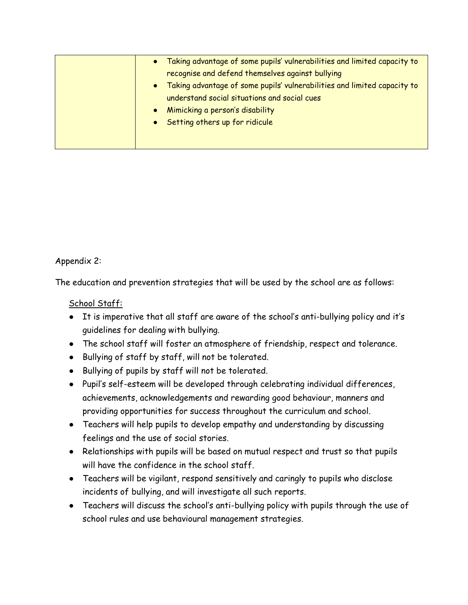|  | Taking advantage of some pupils' vulnerabilities and limited capacity to |
|--|--------------------------------------------------------------------------|
|  | recognise and defend themselves against bullying                         |
|  | Taking advantage of some pupils' vulnerabilities and limited capacity to |
|  | understand social situations and social cues                             |
|  | Mimicking a person's disability                                          |
|  | Setting others up for ridicule                                           |
|  |                                                                          |
|  |                                                                          |

Appendix 2:

The education and prevention strategies that will be used by the school are as follows:

School Staff:

- It is imperative that all staff are aware of the school's anti-bullying policy and it's guidelines for dealing with bullying.
- The school staff will foster an atmosphere of friendship, respect and tolerance.
- Bullying of staff by staff, will not be tolerated.
- Bullying of pupils by staff will not be tolerated.
- Pupil's self-esteem will be developed through celebrating individual differences, achievements, acknowledgements and rewarding good behaviour, manners and providing opportunities for success throughout the curriculum and school.
- Teachers will help pupils to develop empathy and understanding by discussing feelings and the use of social stories.
- Relationships with pupils will be based on mutual respect and trust so that pupils will have the confidence in the school staff.
- Teachers will be vigilant, respond sensitively and caringly to pupils who disclose incidents of bullying, and will investigate all such reports.
- Teachers will discuss the school's anti-bullying policy with pupils through the use of school rules and use behavioural management strategies.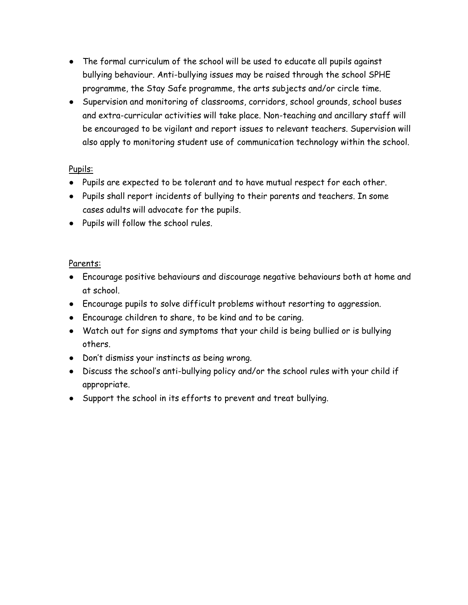- The formal curriculum of the school will be used to educate all pupils against bullying behaviour. Anti-bullying issues may be raised through the school SPHE programme, the Stay Safe programme, the arts subjects and/or circle time.
- Supervision and monitoring of classrooms, corridors, school grounds, school buses and extra-curricular activities will take place. Non-teaching and ancillary staff will be encouraged to be vigilant and report issues to relevant teachers. Supervision will also apply to monitoring student use of communication technology within the school.

## Pupils:

- Pupils are expected to be tolerant and to have mutual respect for each other.
- Pupils shall report incidents of bullying to their parents and teachers. In some cases adults will advocate for the pupils.
- Pupils will follow the school rules.

## Parents:

- Encourage positive behaviours and discourage negative behaviours both at home and at school.
- Encourage pupils to solve difficult problems without resorting to aggression.
- Encourage children to share, to be kind and to be caring.
- Watch out for signs and symptoms that your child is being bullied or is bullying others.
- Don't dismiss your instincts as being wrong.
- Discuss the school's anti-bullying policy and/or the school rules with your child if appropriate.
- Support the school in its efforts to prevent and treat bullying.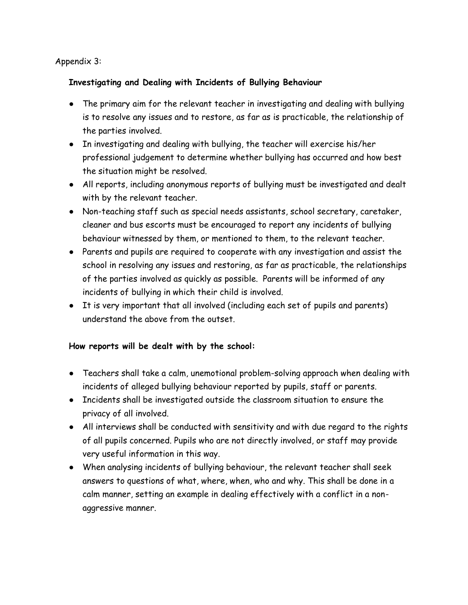## Appendix 3:

## **Investigating and Dealing with Incidents of Bullying Behaviour**

- The primary aim for the relevant teacher in investigating and dealing with bullying is to resolve any issues and to restore, as far as is practicable, the relationship of the parties involved.
- In investigating and dealing with bullying, the teacher will exercise his/her professional judgement to determine whether bullying has occurred and how best the situation might be resolved.
- All reports, including anonymous reports of bullying must be investigated and dealt with by the relevant teacher.
- Non-teaching staff such as special needs assistants, school secretary, caretaker, cleaner and bus escorts must be encouraged to report any incidents of bullying behaviour witnessed by them, or mentioned to them, to the relevant teacher.
- Parents and pupils are required to cooperate with any investigation and assist the school in resolving any issues and restoring, as far as practicable, the relationships of the parties involved as quickly as possible. Parents will be informed of any incidents of bullying in which their child is involved.
- It is very important that all involved (including each set of pupils and parents) understand the above from the outset.

## **How reports will be dealt with by the school:**

- Teachers shall take a calm, unemotional problem-solving approach when dealing with incidents of alleged bullying behaviour reported by pupils, staff or parents.
- Incidents shall be investigated outside the classroom situation to ensure the privacy of all involved.
- All interviews shall be conducted with sensitivity and with due regard to the rights of all pupils concerned. Pupils who are not directly involved, or staff may provide very useful information in this way.
- When analysing incidents of bullying behaviour, the relevant teacher shall seek answers to questions of what, where, when, who and why. This shall be done in a calm manner, setting an example in dealing effectively with a conflict in a nonaggressive manner.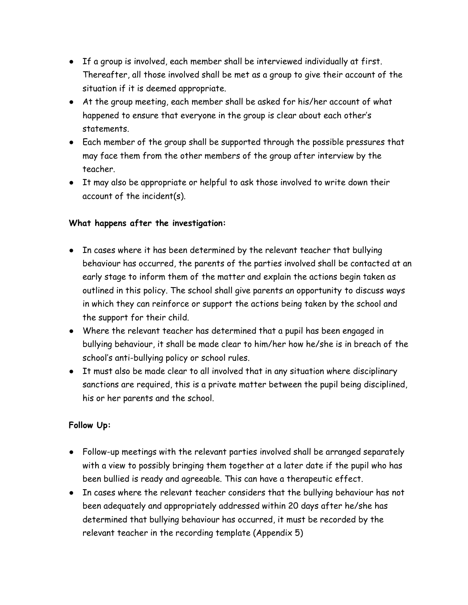- If a group is involved, each member shall be interviewed individually at first. Thereafter, all those involved shall be met as a group to give their account of the situation if it is deemed appropriate.
- At the group meeting, each member shall be asked for his/her account of what happened to ensure that everyone in the group is clear about each other's statements.
- Each member of the group shall be supported through the possible pressures that may face them from the other members of the group after interview by the teacher.
- It may also be appropriate or helpful to ask those involved to write down their account of the incident(s).

## **What happens after the investigation:**

- In cases where it has been determined by the relevant teacher that bullying behaviour has occurred, the parents of the parties involved shall be contacted at an early stage to inform them of the matter and explain the actions begin taken as outlined in this policy. The school shall give parents an opportunity to discuss ways in which they can reinforce or support the actions being taken by the school and the support for their child.
- Where the relevant teacher has determined that a pupil has been engaged in bullying behaviour, it shall be made clear to him/her how he/she is in breach of the school's anti-bullying policy or school rules.
- It must also be made clear to all involved that in any situation where disciplinary sanctions are required, this is a private matter between the pupil being disciplined, his or her parents and the school.

## **Follow Up:**

- Follow-up meetings with the relevant parties involved shall be arranged separately with a view to possibly bringing them together at a later date if the pupil who has been bullied is ready and agreeable. This can have a therapeutic effect.
- In cases where the relevant teacher considers that the bullying behaviour has not been adequately and appropriately addressed within 20 days after he/she has determined that bullying behaviour has occurred, it must be recorded by the relevant teacher in the recording template (Appendix 5)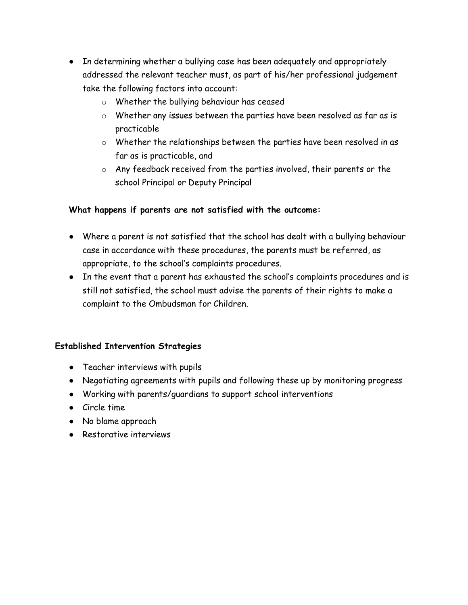- In determining whether a bullying case has been adequately and appropriately addressed the relevant teacher must, as part of his/her professional judgement take the following factors into account:
	- o Whether the bullying behaviour has ceased
	- o Whether any issues between the parties have been resolved as far as is practicable
	- o Whether the relationships between the parties have been resolved in as far as is practicable, and
	- o Any feedback received from the parties involved, their parents or the school Principal or Deputy Principal

## **What happens if parents are not satisfied with the outcome:**

- Where a parent is not satisfied that the school has dealt with a bullying behaviour case in accordance with these procedures, the parents must be referred, as appropriate, to the school's complaints procedures.
- In the event that a parent has exhausted the school's complaints procedures and is still not satisfied, the school must advise the parents of their rights to make a complaint to the Ombudsman for Children.

## **Established Intervention Strategies**

- Teacher interviews with pupils
- Negotiating agreements with pupils and following these up by monitoring progress
- Working with parents/guardians to support school interventions
- Circle time
- No blame approach
- Restorative interviews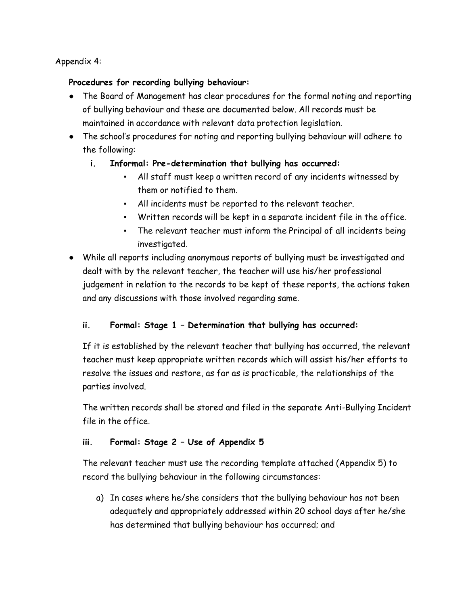## Appendix 4:

## **Procedures for recording bullying behaviour:**

- The Board of Management has clear procedures for the formal noting and reporting of bullying behaviour and these are documented below. All records must be maintained in accordance with relevant data protection legislation.
- The school's procedures for noting and reporting bullying behaviour will adhere to the following:
	- **i. Informal: Pre-determination that bullying has occurred:**
		- All staff must keep a written record of any incidents witnessed by them or notified to them.
		- All incidents must be reported to the relevant teacher.
		- Written records will be kept in a separate incident file in the office.
		- The relevant teacher must inform the Principal of all incidents being investigated.
- While all reports including anonymous reports of bullying must be investigated and dealt with by the relevant teacher, the teacher will use his/her professional judgement in relation to the records to be kept of these reports, the actions taken and any discussions with those involved regarding same.

## **ii. Formal: Stage 1 – Determination that bullying has occurred:**

If it is established by the relevant teacher that bullying has occurred, the relevant teacher must keep appropriate written records which will assist his/her efforts to resolve the issues and restore, as far as is practicable, the relationships of the parties involved.

The written records shall be stored and filed in the separate Anti-Bullying Incident file in the office.

## **iii. Formal: Stage 2 – Use of Appendix 5**

The relevant teacher must use the recording template attached (Appendix 5) to record the bullying behaviour in the following circumstances:

a) In cases where he/she considers that the bullying behaviour has not been adequately and appropriately addressed within 20 school days after he/she has determined that bullying behaviour has occurred; and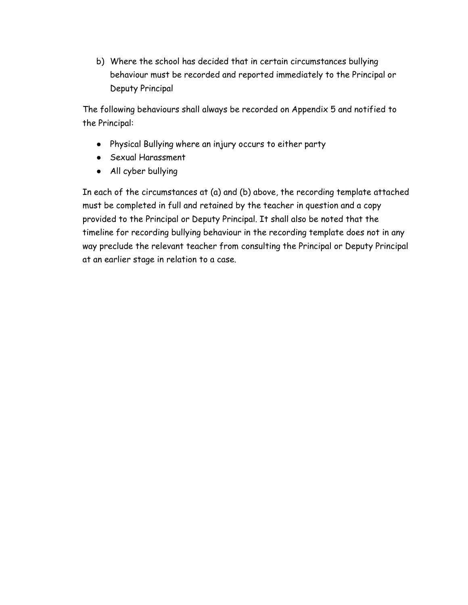b) Where the school has decided that in certain circumstances bullying behaviour must be recorded and reported immediately to the Principal or Deputy Principal

The following behaviours shall always be recorded on Appendix 5 and notified to the Principal:

- Physical Bullying where an injury occurs to either party
- Sexual Harassment
- All cyber bullying

In each of the circumstances at (a) and (b) above, the recording template attached must be completed in full and retained by the teacher in question and a copy provided to the Principal or Deputy Principal. It shall also be noted that the timeline for recording bullying behaviour in the recording template does not in any way preclude the relevant teacher from consulting the Principal or Deputy Principal at an earlier stage in relation to a case.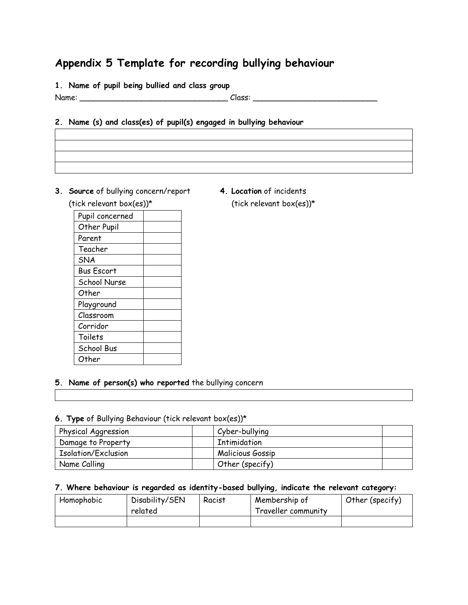# **Appendix 5 Template for recording bullying behaviour**

**1. Name of pupil being bullied and class group**

Name: \_\_\_\_\_\_\_\_\_\_\_\_\_\_\_\_\_\_\_\_\_\_\_\_\_\_\_\_\_\_\_ Class: \_\_\_\_\_\_\_\_\_\_\_\_\_\_\_\_\_\_\_\_\_\_\_\_\_\_

#### **2. Name (s) and class(es) of pupil(s) engaged in bullying behaviour**

- **3. Source** of bullying concern/report **4. Location** of incidents (tick relevant box(es))\* (tick relevant box(es))\*
	-

| ונבא ו כוכנעווו טטגנכאן |  |  |  |
|-------------------------|--|--|--|
| Pupil concerned         |  |  |  |
| Other Pupil             |  |  |  |
| Parent                  |  |  |  |
| Teacher                 |  |  |  |
| <b>SNA</b>              |  |  |  |
| <b>Bus Escort</b>       |  |  |  |
| <b>School Nurse</b>     |  |  |  |
| Other                   |  |  |  |
| Playground              |  |  |  |
| Classroom               |  |  |  |
| Corridor                |  |  |  |
| Toilets                 |  |  |  |
| School Bus              |  |  |  |
| Other                   |  |  |  |
|                         |  |  |  |

#### **5. Name of person(s) who reported** the bullying concern

# **6. Type** of Bullying Behaviour (tick relevant box(es))\*

| Physical Aggression | Cyber-bullying          |
|---------------------|-------------------------|
| Damage to Property  | Intimidation            |
| Isolation/Exclusion | <b>Malicious Gossip</b> |
| Name Calling        | Other (specify)         |

#### **7. Where behaviour is regarded as identity-based bullying, indicate the relevant category:**

| Homophobic | Disability/SEN<br>related | Racist | Membership of<br>Traveller community | Other (specify) |
|------------|---------------------------|--------|--------------------------------------|-----------------|
|            |                           |        |                                      |                 |